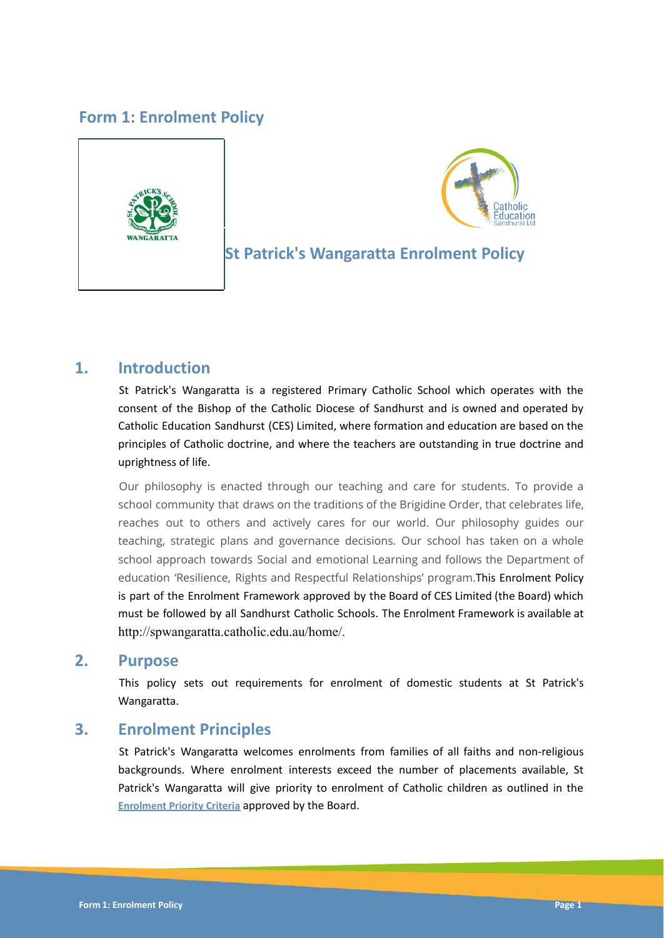# **Form 1: Enrolment Policy**





# **St Patrick's Wangaratta Enrolment Policy**

## **1. Introduction**

St Patrick's Wangaratta is a registered Primary Catholic School which operates with the consent of the Bishop of the Catholic Diocese of Sandhurst and is owned and operated by Catholic Education Sandhurst (CES) Limited, where formation and education are based on the principles of Catholic doctrine, and where the teachers are outstanding in true doctrine and uprightness of life.

Our philosophy is enacted through our teaching and care for students. To provide a school community that draws on the traditions of the Brigidine Order, that celebrates life, reaches out to others and actively cares for our world. Our philosophy guides our teaching, strategic plans and governance decisions. Our school has taken on a whole school approach towards Social and emotional Learning and follows the Department of education 'Resilience, Rights and Respectful Relationships' program.This Enrolment Policy is part of the Enrolment Framework approved by the Board of CES Limited (the Board) which must be followed by all Sandhurst Catholic Schools. The Enrolment Framework is available at http://spwangaratta.catholic.edu.au/home/.

### **2. Purpose**

This policy sets out requirements for enrolment of domestic students at St Patrick's Wangaratta.

## **3. Enrolment Principles**

St Patrick's Wangaratta welcomes enrolments from families of all faiths and non-religious backgrounds. Where enrolment interests exceed the number of placements available, St Patrick's Wangaratta will give priority to enrolment of Catholic children as outlined in the **Enrolment Priority Criteria** approved by the Board.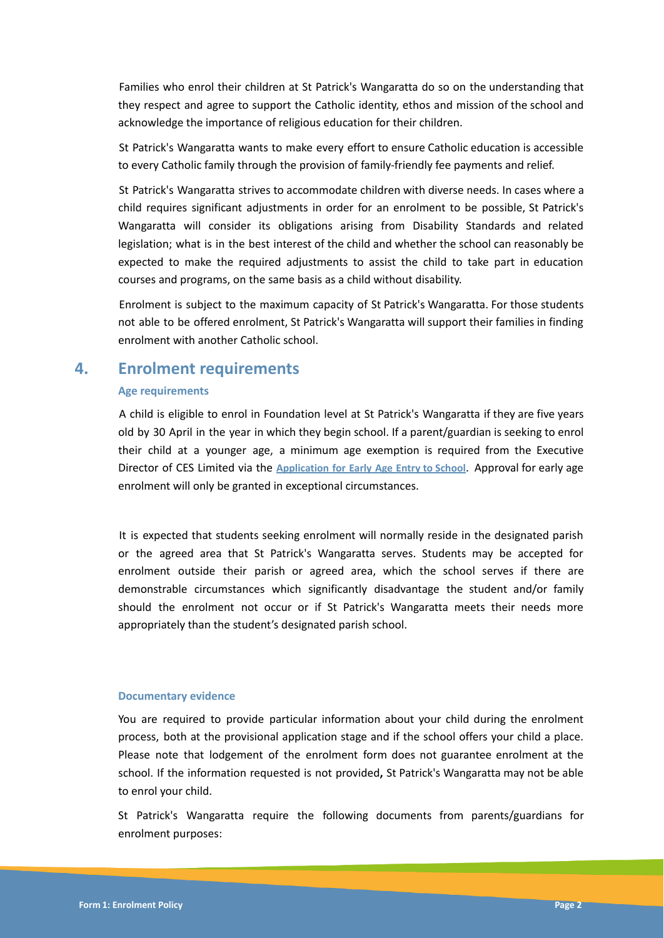Families who enrol their children at St Patrick's Wangaratta do so on the understanding that they respect and agree to support the Catholic identity, ethos and mission of the school and acknowledge the importance of religious education for their children.

St Patrick's Wangaratta wants to make every effort to ensure Catholic education is accessible to every Catholic family through the provision of family-friendly fee payments and relief.

St Patrick's Wangaratta strives to accommodate children with diverse needs. In cases where a child requires significant adjustments in order for an enrolment to be possible, St Patrick's Wangaratta will consider its obligations arising from Disability Standards and related legislation; what is in the best interest of the child and whether the school can reasonably be expected to make the required adjustments to assist the child to take part in education courses and programs, on the same basis as a child without disability.

Enrolment is subject to the maximum capacity of St Patrick's Wangaratta. For those students not able to be offered enrolment, St Patrick's Wangaratta will support their families in finding enrolment with another Catholic school.

### **4. Enrolment requirements**

#### **Age requirements**

A child is eligible to enrol in Foundation level at St Patrick's Wangaratta if they are five years old by 30 April in the year in which they begin school. If a parent/guardian is seeking to enrol their child at a younger age, a minimum age exemption is required from the Executive Director of CES Limited via the **Application for Early Age Entry to School**. Approval for early age enrolment will only be granted in exceptional circumstances.

It is expected that students seeking enrolment will normally reside in the designated parish or the agreed area that St Patrick's Wangaratta serves. Students may be accepted for enrolment outside their parish or agreed area, which the school serves if there are demonstrable circumstances which significantly disadvantage the student and/or family should the enrolment not occur or if St Patrick's Wangaratta meets their needs more appropriately than the student's designated parish school.

#### **Documentary evidence**

You are required to provide particular information about your child during the enrolment process, both at the provisional application stage and if the school offers your child a place. Please note that lodgement of the enrolment form does not guarantee enrolment at the school. If the information requested is not provided**,** St Patrick's Wangaratta may not be able to enrol your child.

St Patrick's Wangaratta require the following documents from parents/guardians for enrolment purposes: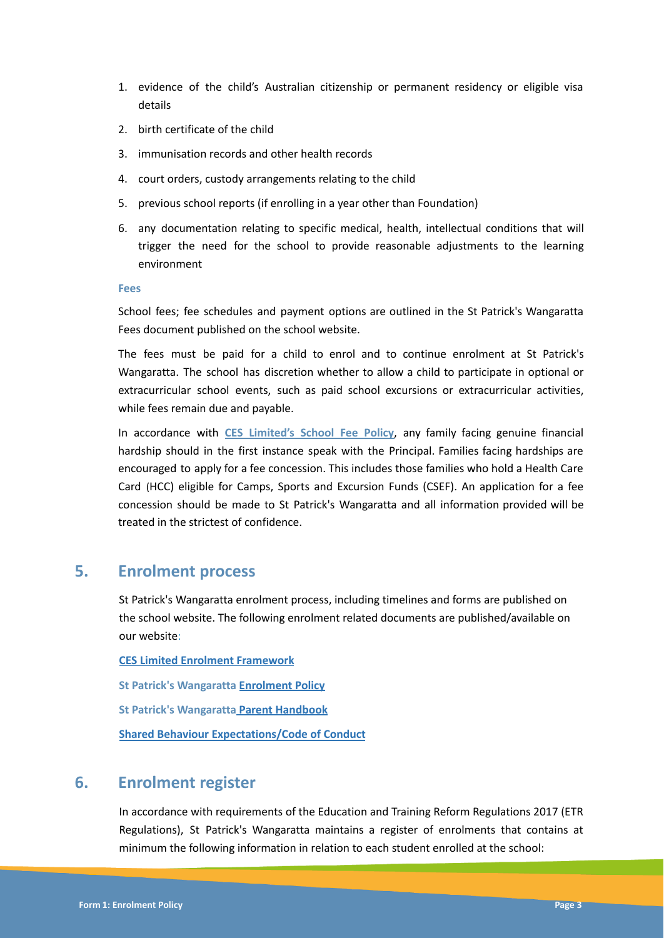- 1. evidence of the child's Australian citizenship or permanent residency or eligible visa details
- 2. birth certificate of the child
- 3. immunisation records and other health records
- 4. court orders, custody arrangements relating to the child
- 5. previous school reports (if enrolling in a year other than Foundation)
- 6. any documentation relating to specific medical, health, intellectual conditions that will trigger the need for the school to provide reasonable adjustments to the learning environment

**Fees**

School fees; fee schedules and payment options are outlined in the St Patrick's Wangaratta Fees document published on the school website.

The fees must be paid for a child to enrol and to continue enrolment at St Patrick's Wangaratta. The school has discretion whether to allow a child to participate in optional or extracurricular school events, such as paid school excursions or extracurricular activities, while fees remain due and payable.

In accordance with **CES Limited's School Fee Policy**, any family facing genuine financial hardship should in the first instance speak with the Principal. Families facing hardships are encouraged to apply for a fee concession. This includes those families who hold a Health Care Card (HCC) eligible for Camps, Sports and Excursion Funds (CSEF). An application for a fee concession should be made to St Patrick's Wangaratta and all information provided will be treated in the strictest of confidence.

### **5. Enrolment process**

St Patrick's Wangaratta enrolment process, including timelines and forms are published on the school website. The following enrolment related documents are published/available on our website:

**CES Limited Enrolment Framework St Patrick's Wangaratta Enrolment Policy St Patrick's Wangaratta Parent Handbook Shared Behaviour Expectations/Code of Conduct**

## **6. Enrolment register**

In accordance with requirements of the Education and Training Reform Regulations 2017 (ETR Regulations), St Patrick's Wangaratta maintains a register of enrolments that contains at minimum the following information in relation to each student enrolled at the school: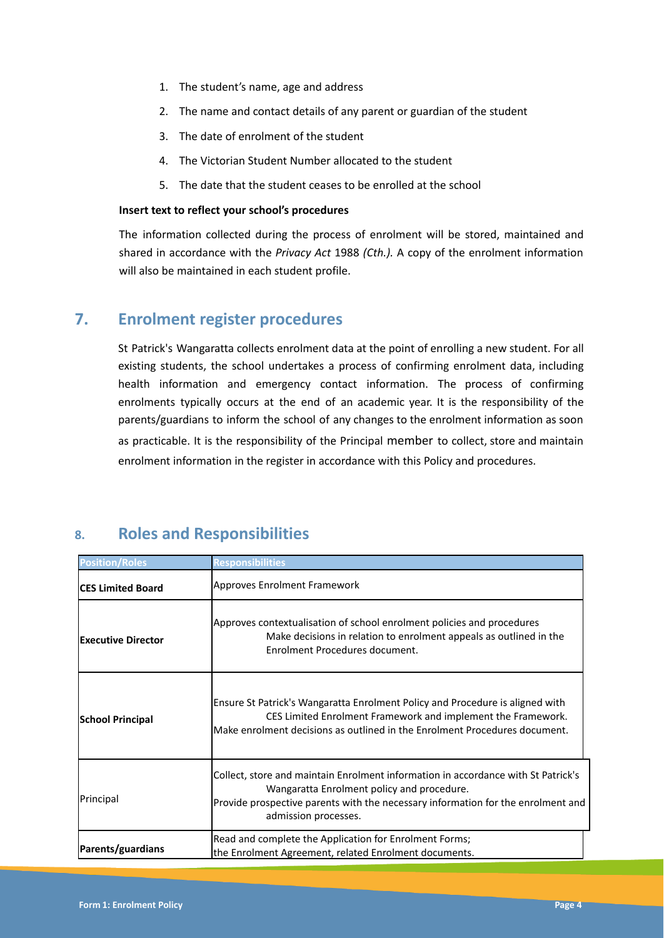- 1. The student's name, age and address
- 2. The name and contact details of any parent or guardian of the student
- 3. The date of enrolment of the student
- 4. The Victorian Student Number allocated to the student
- 5. The date that the student ceases to be enrolled at the school

#### **Insert text to reflect your school's procedures**

The information collected during the process of enrolment will be stored, maintained and shared in accordance with the *Privacy Act* 1988 *(Cth.).* A copy of the enrolment information will also be maintained in each student profile.

## **7. Enrolment register procedures**

St Patrick's Wangaratta collects enrolment data at the point of enrolling a new student. For all existing students, the school undertakes a process of confirming enrolment data, including health information and emergency contact information. The process of confirming enrolments typically occurs at the end of an academic year. It is the responsibility of the parents/guardians to inform the school of any changes to the enrolment information as soon as practicable. It is the responsibility of the Principal member to collect, store and maintain enrolment information in the register in accordance with this Policy and procedures.

| <b>Position/Roles</b>      | <b>Responsibilities</b>                                                                                                                                                                                                                     |  |
|----------------------------|---------------------------------------------------------------------------------------------------------------------------------------------------------------------------------------------------------------------------------------------|--|
| <b>ICES Limited Board</b>  | Approves Enrolment Framework                                                                                                                                                                                                                |  |
| <b>lExecutive Director</b> | Approves contextualisation of school enrolment policies and procedures<br>Make decisions in relation to enrolment appeals as outlined in the<br>Enrolment Procedures document.                                                              |  |
| School Principal           | Ensure St Patrick's Wangaratta Enrolment Policy and Procedure is aligned with<br>CES Limited Enrolment Framework and implement the Framework.<br>Make enrolment decisions as outlined in the Enrolment Procedures document.                 |  |
| Principal                  | Collect, store and maintain Enrolment information in accordance with St Patrick's<br>Wangaratta Enrolment policy and procedure.<br>Provide prospective parents with the necessary information for the enrolment and<br>admission processes. |  |
| Parents/guardians          | Read and complete the Application for Enrolment Forms;<br>the Enrolment Agreement, related Enrolment documents.                                                                                                                             |  |

# **8. Roles and Responsibilities**